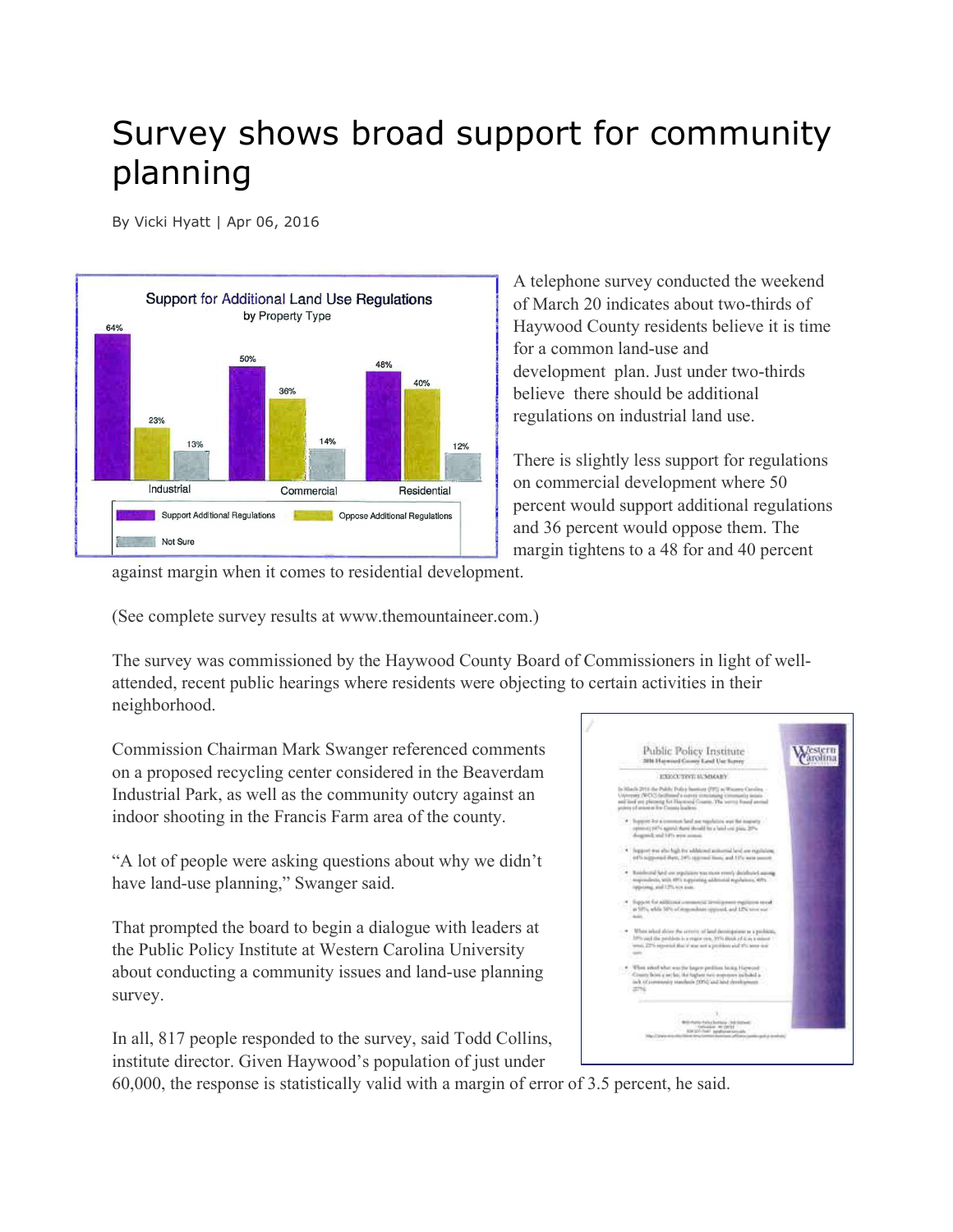## Survey shows broad support for community planning

By Vicki Hyatt | Apr 06, 2016



A telephone survey conducted the weekend of March 20 indicates about two-thirds of Haywood County residents believe it is time for a common land-use and development plan. Just under two-thirds believe there should be additional regulations on industrial land use.

There is slightly less support for regulations on commercial development where 50 percent would support additional regulations and 36 percent would oppose them. The margin tightens to a 48 for and 40 percent

against margin when it comes to residential development.

(See complete survey results at www.themountaineer.com.)

The survey was commissioned by the Haywood County Board of Commissioners in light of wellattended, recent public hearings where residents were objecting to certain activities in their neighborhood.

Commission Chairman Mark Swanger referenced comments on a proposed recycling center considered in the Beaverdam Industrial Park, as well as the community outcry against an indoor shooting in the Francis Farm area of the county.

"A lot of people were asking questions about why we didn't have land-use planning," Swanger said.

That prompted the board to begin a dialogue with leaders at the Public Policy Institute at Western Carolina University about conducting a community issues and land-use planning survey.

In all, 817 people responded to the survey, said Todd Collins, institute director. Given Haywood's population of just under

60,000, the response is statistically valid with a margin of error of 3.5 percent, he said.